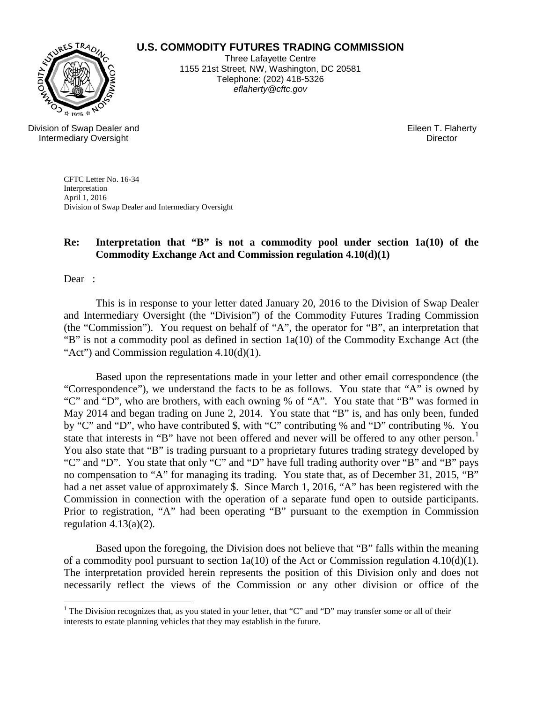## **U.S. COMMODITY FUTURES TRADING COMMISSION**



Three Lafayette Centre 1155 21st Street, NW, Washington, DC 20581 Telephone: (202) 418-5326 *eflaherty@cftc.gov*

Division of Swap Dealer and Intermediary Oversight

Eileen T. Flaherty **Director** 

CFTC Letter No. 16-34 Interpretation April 1, 2016 Division of Swap Dealer and Intermediary Oversight

## **Re: Interpretation that "B" is not a commodity pool under section 1a(10) of the Commodity Exchange Act and Commission regulation 4.10(d)(1)**

Dear :

This is in response to your letter dated January 20, 2016 to the Division of Swap Dealer and Intermediary Oversight (the "Division") of the Commodity Futures Trading Commission (the "Commission"). You request on behalf of "A", the operator for "B", an interpretation that "B" is not a commodity pool as defined in section 1a(10) of the Commodity Exchange Act (the "Act") and Commission regulation 4.10(d)(1).

Based upon the representations made in your letter and other email correspondence (the "Correspondence"), we understand the facts to be as follows. You state that "A" is owned by "C" and "D", who are brothers, with each owning % of "A". You state that "B" was formed in May 2014 and began trading on June 2, 2014. You state that "B" is, and has only been, funded by "C" and "D", who have contributed \$, with "C" contributing % and "D" contributing %. You state that interests in "B" have not been offered and never will be offered to any other person.<sup>[1](#page-0-0)</sup> You also state that "B" is trading pursuant to a proprietary futures trading strategy developed by "C" and "D". You state that only "C" and "D" have full trading authority over "B" and "B" pays no compensation to "A" for managing its trading. You state that, as of December 31, 2015, "B" had a net asset value of approximately \$. Since March 1, 2016, "A" has been registered with the Commission in connection with the operation of a separate fund open to outside participants. Prior to registration, "A" had been operating "B" pursuant to the exemption in Commission regulation  $4.13(a)(2)$ .

Based upon the foregoing, the Division does not believe that "B" falls within the meaning of a commodity pool pursuant to section  $1a(10)$  of the Act or Commission regulation 4.10(d)(1). The interpretation provided herein represents the position of this Division only and does not necessarily reflect the views of the Commission or any other division or office of the

<span id="page-0-0"></span><sup>&</sup>lt;sup>1</sup> The Division recognizes that, as you stated in your letter, that "C" and "D" may transfer some or all of their interests to estate planning vehicles that they may establish in the future.